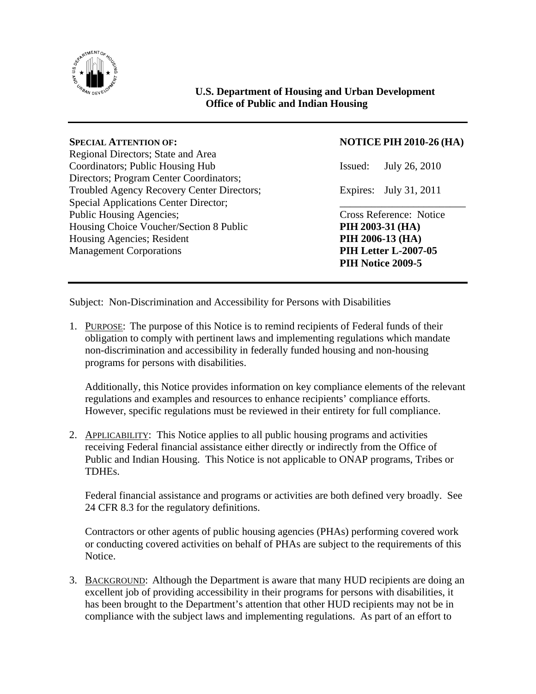

# **U.S. Department of Housing and Urban Development Office of Public and Indian Housing**

Regional Directors; State and Area Coordinators; Public Housing Hub Issued: July 26, 2010 Directors; Program Center Coordinators; Troubled Agency Recovery Center Directors; Expires: July 31, 2011 Special Applications Center Director; Public Housing Agencies; Cross Reference: Notice Housing Choice Voucher/Section 8 Public **PIH 2003-31 (HA)**  Housing Agencies; Resident **PIH 2006-13 (HA)** Management Corporations **PIH Letter L-2007-05** 

## **SPECIAL ATTENTION OF: NOTICE PIH 2010-26 (HA)**

 **PIH Notice 2009-5** 

Subject: Non-Discrimination and Accessibility for Persons with Disabilities

1. PURPOSE: The purpose of this Notice is to remind recipients of Federal funds of their obligation to comply with pertinent laws and implementing regulations which mandate non-discrimination and accessibility in federally funded housing and non-housing programs for persons with disabilities.

Additionally, this Notice provides information on key compliance elements of the relevant regulations and examples and resources to enhance recipients' compliance efforts. However, specific regulations must be reviewed in their entirety for full compliance.

2. APPLICABILITY: This Notice applies to all public housing programs and activities receiving Federal financial assistance either directly or indirectly from the Office of Public and Indian Housing. This Notice is not applicable to ONAP programs, Tribes or TDHEs.

Federal financial assistance and programs or activities are both defined very broadly. See 24 CFR 8.3 for the regulatory definitions.

Contractors or other agents of public housing agencies (PHAs) performing covered work or conducting covered activities on behalf of PHAs are subject to the requirements of this Notice.

3. BACKGROUND: Although the Department is aware that many HUD recipients are doing an excellent job of providing accessibility in their programs for persons with disabilities, it has been brought to the Department's attention that other HUD recipients may not be in compliance with the subject laws and implementing regulations. As part of an effort to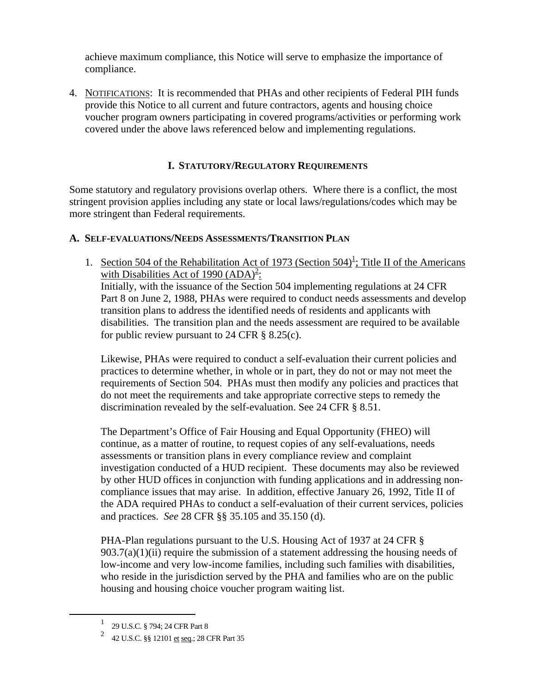achieve maximum compliance, this Notice will serve to emphasize the importance of compliance.

4. NOTIFICATIONS: It is recommended that PHAs and other recipients of Federal PIH funds provide this Notice to all current and future contractors, agents and housing choice voucher program owners participating in covered programs/activities or performing work covered under the above laws referenced below and implementing regulations.

## **I. STATUTORY/REGULATORY REQUIREMENTS**

Some statutory and regulatory provisions overlap others. Where there is a conflict, the most stringent provision applies including any state or local laws/regulations/codes which may be more stringent than Federal requirements.

#### **A. SELF-EVALUATIONS/NEEDS ASSESSMENTS/TRANSITION PLAN**

[1](#page-1-0). Section 504 of the Rehabilitation Act of 1973 (Section  $504<sup>1</sup>$ ; Title II of the Americans with Disabilities Act of 1990  $(ADA)^2$  $(ADA)^2$ : Initially, with the issuance of the Section 504 implementing regulations at 24 CFR Part 8 on June 2, 1988, PHAs were required to conduct needs assessments and develop transition plans to address the identified needs of residents and applicants with disabilities. The transition plan and the needs assessment are required to be available for public review pursuant to 24 CFR  $\S$  8.25(c).

Likewise, PHAs were required to conduct a self-evaluation their current policies and practices to determine whether, in whole or in part, they do not or may not meet the requirements of Section 504. PHAs must then modify any policies and practices that do not meet the requirements and take appropriate corrective steps to remedy the discrimination revealed by the self-evaluation. See 24 CFR § 8.51.

The Department's Office of Fair Housing and Equal Opportunity (FHEO) will continue, as a matter of routine, to request copies of any self-evaluations, needs assessments or transition plans in every compliance review and complaint investigation conducted of a HUD recipient. These documents may also be reviewed by other HUD offices in conjunction with funding applications and in addressing noncompliance issues that may arise. In addition, effective January 26, 1992, Title II of the ADA required PHAs to conduct a self-evaluation of their current services, policies and practices. *See* 28 CFR §§ 35.105 and 35.150 (d).

PHA-Plan regulations pursuant to the U.S. Housing Act of 1937 at 24 CFR §  $903.7(a)(1)(ii)$  require the submission of a statement addressing the housing needs of low-income and very low-income families, including such families with disabilities, who reside in the jurisdiction served by the PHA and families who are on the public housing and housing choice voucher program waiting list.

<sup>&</sup>lt;u>1</u> 29 U.S.C. § 794; 24 CFR Part 8

<span id="page-1-1"></span><span id="page-1-0"></span><sup>&</sup>lt;sup>2</sup> 42 U.S.C. §§ 12101 <u>et seq</u>.; 28 CFR Part 35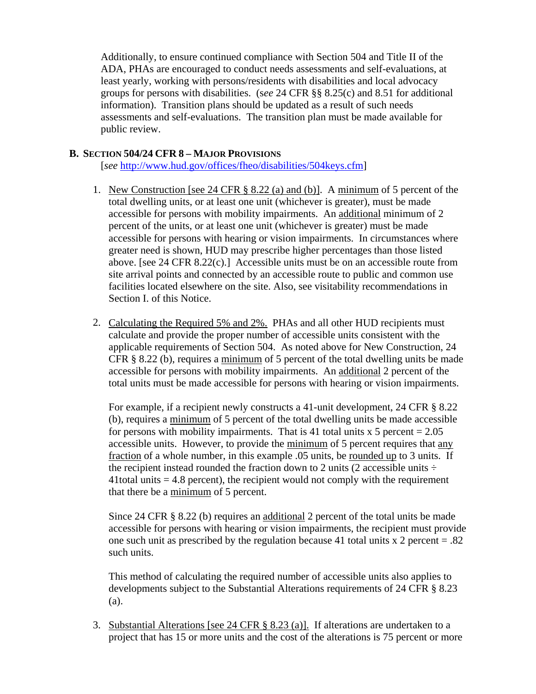Additionally, to ensure continued compliance with Section 504 and Title II of the ADA, PHAs are encouraged to conduct needs assessments and self-evaluations, at least yearly, working with persons/residents with disabilities and local advocacy groups for persons with disabilities. (s*ee* 24 CFR §§ 8.25(c) and 8.51 for additional information). Transition plans should be updated as a result of such needs assessments and self-evaluations. The transition plan must be made available for public review.

#### **B. SECTION 504/24 CFR 8 – MAJOR PROVISIONS**

[*see* <http://www.hud.gov/offices/fheo/disabilities/504keys.cfm>]

- 1. New Construction [see 24 CFR § 8.22 (a) and (b)]. A minimum of 5 percent of the total dwelling units, or at least one unit (whichever is greater), must be made accessible for persons with mobility impairments. An additional minimum of 2 percent of the units, or at least one unit (whichever is greater) must be made accessible for persons with hearing or vision impairments. In circumstances where greater need is shown, HUD may prescribe higher percentages than those listed above. [see 24 CFR 8.22(c).] Accessible units must be on an accessible route from site arrival points and connected by an accessible route to public and common use facilities located elsewhere on the site. Also, see visitability recommendations in Section I. of this Notice.
- 2. Calculating the Required 5% and 2%. PHAs and all other HUD recipients must calculate and provide the proper number of accessible units consistent with the applicable requirements of Section 504. As noted above for New Construction, 24 CFR § 8.22 (b), requires a minimum of 5 percent of the total dwelling units be made accessible for persons with mobility impairments. An additional 2 percent of the total units must be made accessible for persons with hearing or vision impairments.

For example, if a recipient newly constructs a 41-unit development, 24 CFR § 8.22 (b), requires a minimum of 5 percent of the total dwelling units be made accessible for persons with mobility impairments. That is 41 total units  $x$  5 percent = 2.05 accessible units. However, to provide the minimum of 5 percent requires that any fraction of a whole number, in this example .05 units, be rounded up to 3 units. If the recipient instead rounded the fraction down to 2 units (2 accessible units  $\div$  $41$ total units  $= 4.8$  percent), the recipient would not comply with the requirement that there be a minimum of 5 percent.

Since 24 CFR § 8.22 (b) requires an additional 2 percent of the total units be made accessible for persons with hearing or vision impairments, the recipient must provide one such unit as prescribed by the regulation because 41 total units  $x$  2 percent = .82 such units.

This method of calculating the required number of accessible units also applies to developments subject to the Substantial Alterations requirements of 24 CFR § 8.23 (a).

3. Substantial Alterations [see 24 CFR § 8.23 (a)]. If alterations are undertaken to a project that has 15 or more units and the cost of the alterations is 75 percent or more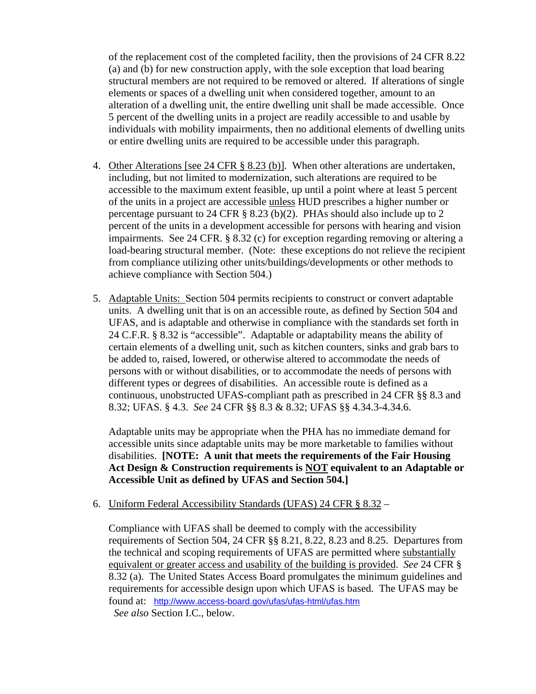of the replacement cost of the completed facility, then the provisions of 24 CFR 8.22 (a) and (b) for new construction apply, with the sole exception that load bearing structural members are not required to be removed or altered. If alterations of single elements or spaces of a dwelling unit when considered together, amount to an alteration of a dwelling unit, the entire dwelling unit shall be made accessible. Once 5 percent of the dwelling units in a project are readily accessible to and usable by individuals with mobility impairments, then no additional elements of dwelling units or entire dwelling units are required to be accessible under this paragraph.

- 4. Other Alterations [see 24 CFR § 8.23 (b)]. When other alterations are undertaken, including, but not limited to modernization, such alterations are required to be accessible to the maximum extent feasible, up until a point where at least 5 percent of the units in a project are accessible unless HUD prescribes a higher number or percentage pursuant to 24 CFR § 8.23 (b)(2). PHAs should also include up to 2 percent of the units in a development accessible for persons with hearing and vision impairments. See 24 CFR. § 8.32 (c) for exception regarding removing or altering a load-bearing structural member. (Note: these exceptions do not relieve the recipient from compliance utilizing other units/buildings/developments or other methods to achieve compliance with Section 504.)
- 5. Adaptable Units: Section 504 permits recipients to construct or convert adaptable units. A dwelling unit that is on an accessible route, as defined by Section 504 and UFAS, and is adaptable and otherwise in compliance with the standards set forth in 24 C.F.R. § 8.32 is "accessible". Adaptable or adaptability means the ability of certain elements of a dwelling unit, such as kitchen counters, sinks and grab bars to be added to, raised, lowered, or otherwise altered to accommodate the needs of persons with or without disabilities, or to accommodate the needs of persons with different types or degrees of disabilities. An accessible route is defined as a continuous, unobstructed UFAS-compliant path as prescribed in 24 CFR §§ 8.3 and 8.32; UFAS. § 4.3. *See* 24 CFR §§ 8.3 & 8.32; UFAS §§ 4.34.3-4.34.6.

Adaptable units may be appropriate when the PHA has no immediate demand for accessible units since adaptable units may be more marketable to families without disabilities. **[NOTE: A unit that meets the requirements of the Fair Housing Act Design & Construction requirements is NOT equivalent to an Adaptable or Accessible Unit as defined by UFAS and Section 504.]** 

# 6. Uniform Federal Accessibility Standards (UFAS) 24 CFR § 8.32 –

Compliance with UFAS shall be deemed to comply with the accessibility requirements of Section 504, 24 CFR §§ 8.21, 8.22, 8.23 and 8.25. Departures from the technical and scoping requirements of UFAS are permitted where substantially equivalent or greater access and usability of the building is provided. *See* 24 CFR § 8.32 (a). The United States Access Board promulgates the minimum guidelines and requirements for accessible design upon which UFAS is based. The UFAS may be found at: <http://www.access-board.gov/ufas/ufas-html/ufas.htm> *See also* Section I.C., below.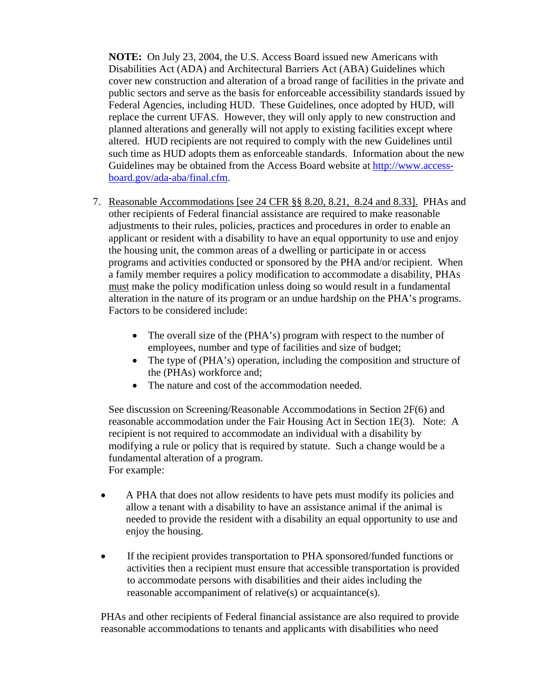**NOTE:** On July 23, 2004, the U.S. Access Board issued new Americans with Disabilities Act (ADA) and Architectural Barriers Act (ABA) Guidelines which cover new construction and alteration of a broad range of facilities in the private and public sectors and serve as the basis for enforceable accessibility standards issued by Federal Agencies, including HUD. These Guidelines, once adopted by HUD, will replace the current UFAS. However, they will only apply to new construction and planned alterations and generally will not apply to existing facilities except where altered. HUD recipients are not required to comply with the new Guidelines until such time as HUD adopts them as enforceable standards. Information about the new Guidelines may be obtained from the Access Board website at [http://www.access](http://www.access-board.gov/ada-aba/final.cfm)[board.gov/ada-aba/final.cfm](http://www.access-board.gov/ada-aba/final.cfm).

- 7. Reasonable Accommodations [see 24 CFR §§ 8.20, 8.21, 8.24 and 8.33]. PHAs and other recipients of Federal financial assistance are required to make reasonable adjustments to their rules, policies, practices and procedures in order to enable an applicant or resident with a disability to have an equal opportunity to use and enjoy the housing unit, the common areas of a dwelling or participate in or access programs and activities conducted or sponsored by the PHA and/or recipient. When a family member requires a policy modification to accommodate a disability, PHAs must make the policy modification unless doing so would result in a fundamental alteration in the nature of its program or an undue hardship on the PHA's programs. Factors to be considered include:
	- The overall size of the (PHA's) program with respect to the number of employees, number and type of facilities and size of budget;
	- The type of (PHA's) operation, including the composition and structure of the (PHAs) workforce and;
	- The nature and cost of the accommodation needed.

See discussion on Screening/Reasonable Accommodations in Section 2F(6) and reasonable accommodation under the Fair Housing Act in Section 1E(3). Note: A recipient is not required to accommodate an individual with a disability by modifying a rule or policy that is required by statute. Such a change would be a fundamental alteration of a program. For example:

- A PHA that does not allow residents to have pets must modify its policies and allow a tenant with a disability to have an assistance animal if the animal is needed to provide the resident with a disability an equal opportunity to use and enjoy the housing.
	- If the recipient provides transportation to PHA sponsored/funded functions or activities then a recipient must ensure that accessible transportation is provided to accommodate persons with disabilities and their aides including the reasonable accompaniment of relative(s) or acquaintance(s).

PHAs and other recipients of Federal financial assistance are also required to provide reasonable accommodations to tenants and applicants with disabilities who need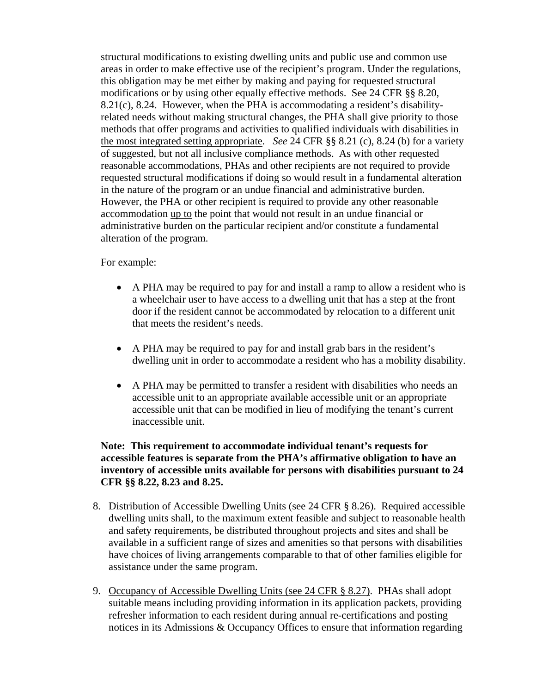structural modifications to existing dwelling units and public use and common use areas in order to make effective use of the recipient's program. Under the regulations, this obligation may be met either by making and paying for requested structural modifications or by using other equally effective methods. See 24 CFR §§ 8.20, 8.21(c), 8.24. However, when the PHA is accommodating a resident's disabilityrelated needs without making structural changes, the PHA shall give priority to those methods that offer programs and activities to qualified individuals with disabilities in the most integrated setting appropriate. *See* 24 CFR §§ 8.21 (c), 8.24 (b) for a variety of suggested, but not all inclusive compliance methods. As with other requested reasonable accommodations, PHAs and other recipients are not required to provide requested structural modifications if doing so would result in a fundamental alteration in the nature of the program or an undue financial and administrative burden. However, the PHA or other recipient is required to provide any other reasonable accommodation up to the point that would not result in an undue financial or administrative burden on the particular recipient and/or constitute a fundamental alteration of the program.

#### For example:

- A PHA may be required to pay for and install a ramp to allow a resident who is a wheelchair user to have access to a dwelling unit that has a step at the front door if the resident cannot be accommodated by relocation to a different unit that meets the resident's needs.
- A PHA may be required to pay for and install grab bars in the resident's dwelling unit in order to accommodate a resident who has a mobility disability.
- A PHA may be permitted to transfer a resident with disabilities who needs an accessible unit to an appropriate available accessible unit or an appropriate accessible unit that can be modified in lieu of modifying the tenant's current inaccessible unit.

## **Note: This requirement to accommodate individual tenant's requests for accessible features is separate from the PHA's affirmative obligation to have an inventory of accessible units available for persons with disabilities pursuant to 24 CFR §§ 8.22, 8.23 and 8.25.**

- 8. Distribution of Accessible Dwelling Units (see 24 CFR § 8.26). Required accessible dwelling units shall, to the maximum extent feasible and subject to reasonable health and safety requirements, be distributed throughout projects and sites and shall be available in a sufficient range of sizes and amenities so that persons with disabilities have choices of living arrangements comparable to that of other families eligible for assistance under the same program.
- 9. Occupancy of Accessible Dwelling Units (see 24 CFR § 8.27). PHAs shall adopt suitable means including providing information in its application packets, providing refresher information to each resident during annual re-certifications and posting notices in its Admissions & Occupancy Offices to ensure that information regarding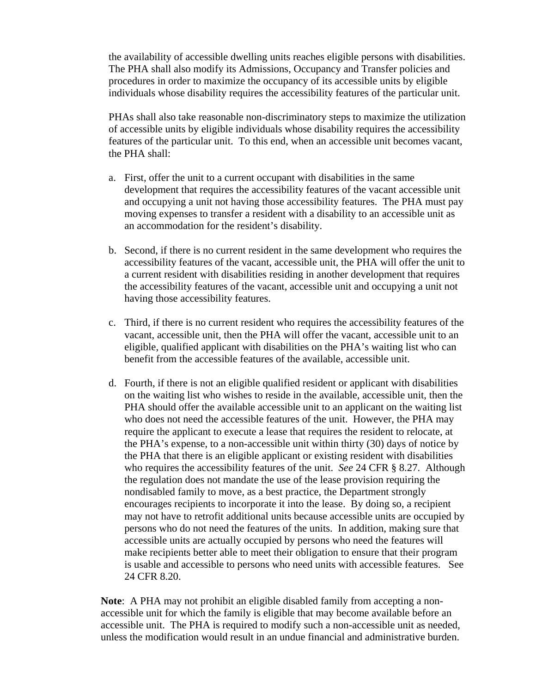the availability of accessible dwelling units reaches eligible persons with disabilities. The PHA shall also modify its Admissions, Occupancy and Transfer policies and procedures in order to maximize the occupancy of its accessible units by eligible individuals whose disability requires the accessibility features of the particular unit.

PHAs shall also take reasonable non-discriminatory steps to maximize the utilization of accessible units by eligible individuals whose disability requires the accessibility features of the particular unit. To this end, when an accessible unit becomes vacant, the PHA shall:

- a. First, offer the unit to a current occupant with disabilities in the same development that requires the accessibility features of the vacant accessible unit and occupying a unit not having those accessibility features. The PHA must pay moving expenses to transfer a resident with a disability to an accessible unit as an accommodation for the resident's disability.
- b. Second, if there is no current resident in the same development who requires the accessibility features of the vacant, accessible unit, the PHA will offer the unit to a current resident with disabilities residing in another development that requires the accessibility features of the vacant, accessible unit and occupying a unit not having those accessibility features.
- c. Third, if there is no current resident who requires the accessibility features of the vacant, accessible unit, then the PHA will offer the vacant, accessible unit to an eligible, qualified applicant with disabilities on the PHA's waiting list who can benefit from the accessible features of the available, accessible unit.
- d. Fourth, if there is not an eligible qualified resident or applicant with disabilities on the waiting list who wishes to reside in the available, accessible unit, then the PHA should offer the available accessible unit to an applicant on the waiting list who does not need the accessible features of the unit. However, the PHA may require the applicant to execute a lease that requires the resident to relocate, at the PHA's expense, to a non-accessible unit within thirty (30) days of notice by the PHA that there is an eligible applicant or existing resident with disabilities who requires the accessibility features of the unit. *See* 24 CFR § 8.27. Although the regulation does not mandate the use of the lease provision requiring the nondisabled family to move, as a best practice, the Department strongly encourages recipients to incorporate it into the lease. By doing so, a recipient may not have to retrofit additional units because accessible units are occupied by persons who do not need the features of the units. In addition, making sure that accessible units are actually occupied by persons who need the features will make recipients better able to meet their obligation to ensure that their program is usable and accessible to persons who need units with accessible features. See 24 CFR 8.20.

**Note**: A PHA may not prohibit an eligible disabled family from accepting a nonaccessible unit for which the family is eligible that may become available before an accessible unit. The PHA is required to modify such a non-accessible unit as needed, unless the modification would result in an undue financial and administrative burden.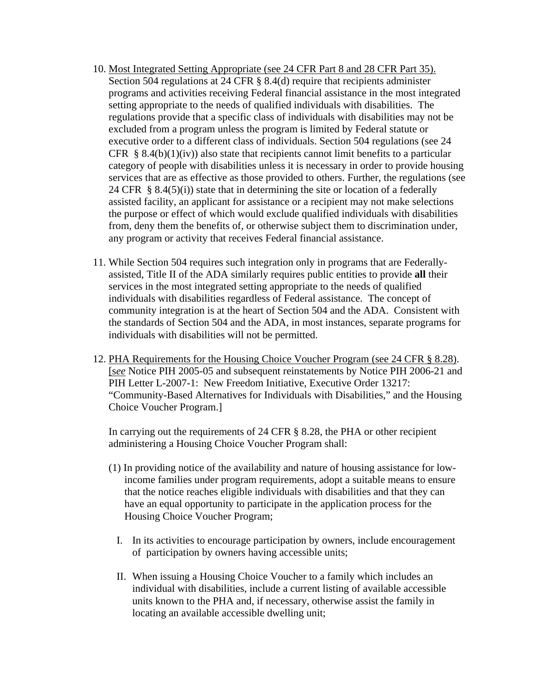- 10. Most Integrated Setting Appropriate (see 24 CFR Part 8 and 28 CFR Part 35). Section 504 regulations at 24 CFR § 8.4(d) require that recipients administer programs and activities receiving Federal financial assistance in the most integrated setting appropriate to the needs of qualified individuals with disabilities. The regulations provide that a specific class of individuals with disabilities may not be excluded from a program unless the program is limited by Federal statute or executive order to a different class of individuals. Section 504 regulations (see 24 CFR § 8.4(b)(1)(iv)) also state that recipients cannot limit benefits to a particular category of people with disabilities unless it is necessary in order to provide housing services that are as effective as those provided to others. Further, the regulations (see 24 CFR  $\S$  8.4(5)(i)) state that in determining the site or location of a federally assisted facility, an applicant for assistance or a recipient may not make selections the purpose or effect of which would exclude qualified individuals with disabilities from, deny them the benefits of, or otherwise subject them to discrimination under, any program or activity that receives Federal financial assistance.
- 11. While Section 504 requires such integration only in programs that are Federallyassisted, Title II of the ADA similarly requires public entities to provide **all** their services in the most integrated setting appropriate to the needs of qualified individuals with disabilities regardless of Federal assistance. The concept of community integration is at the heart of Section 504 and the ADA. Consistent with the standards of Section 504 and the ADA, in most instances, separate programs for individuals with disabilities will not be permitted.
- 12. PHA Requirements for the Housing Choice Voucher Program (see 24 CFR § 8.28). [s*ee* Notice PIH 2005-05 and subsequent reinstatements by Notice PIH 2006-21 and PIH Letter L-2007-1: New Freedom Initiative, Executive Order 13217: "Community-Based Alternatives for Individuals with Disabilities," and the Housing Choice Voucher Program.]

In carrying out the requirements of 24 CFR § 8.28, the PHA or other recipient administering a Housing Choice Voucher Program shall:

- (1) In providing notice of the availability and nature of housing assistance for lowincome families under program requirements, adopt a suitable means to ensure that the notice reaches eligible individuals with disabilities and that they can have an equal opportunity to participate in the application process for the Housing Choice Voucher Program;
	- I. In its activities to encourage participation by owners, include encouragement of participation by owners having accessible units;
	- II. When issuing a Housing Choice Voucher to a family which includes an individual with disabilities, include a current listing of available accessible units known to the PHA and, if necessary, otherwise assist the family in locating an available accessible dwelling unit;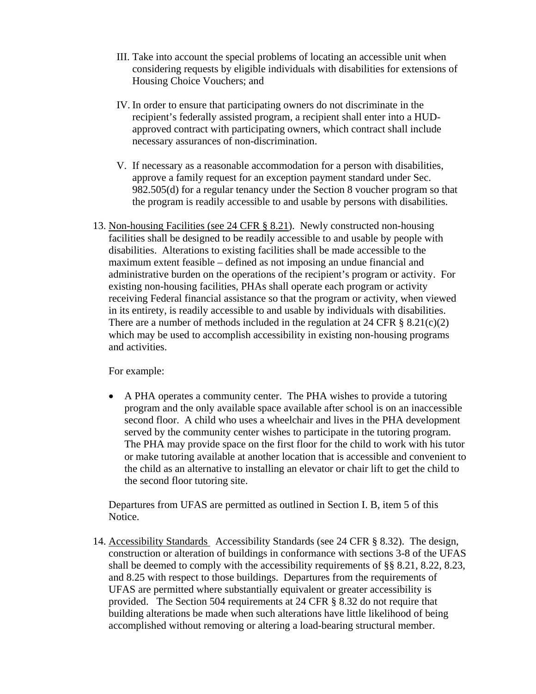- III. Take into account the special problems of locating an accessible unit when considering requests by eligible individuals with disabilities for extensions of Housing Choice Vouchers; and
- IV. In order to ensure that participating owners do not discriminate in the recipient's federally assisted program, a recipient shall enter into a HUDapproved contract with participating owners, which contract shall include necessary assurances of non-discrimination.
- V. If necessary as a reasonable accommodation for a person with disabilities, approve a family request for an exception payment standard under Sec. 982.505(d) for a regular tenancy under the Section 8 voucher program so that the program is readily accessible to and usable by persons with disabilities.
- 13. Non-housing Facilities (see 24 CFR § 8.21). Newly constructed non-housing facilities shall be designed to be readily accessible to and usable by people with disabilities. Alterations to existing facilities shall be made accessible to the maximum extent feasible – defined as not imposing an undue financial and administrative burden on the operations of the recipient's program or activity. For existing non-housing facilities, PHAs shall operate each program or activity receiving Federal financial assistance so that the program or activity, when viewed in its entirety, is readily accessible to and usable by individuals with disabilities. There are a number of methods included in the regulation at 24 CFR  $\S$  8.21(c)(2) which may be used to accomplish accessibility in existing non-housing programs and activities.

For example:

• A PHA operates a community center. The PHA wishes to provide a tutoring program and the only available space available after school is on an inaccessible second floor. A child who uses a wheelchair and lives in the PHA development served by the community center wishes to participate in the tutoring program. The PHA may provide space on the first floor for the child to work with his tutor or make tutoring available at another location that is accessible and convenient to the child as an alternative to installing an elevator or chair lift to get the child to the second floor tutoring site.

Departures from UFAS are permitted as outlined in Section I. B, item 5 of this Notice.

14. Accessibility Standards Accessibility Standards (see 24 CFR § 8.32). The design, construction or alteration of buildings in conformance with sections 3-8 of the UFAS shall be deemed to comply with the accessibility requirements of §§ 8.21, 8.22, 8.23, and 8.25 with respect to those buildings. Departures from the requirements of UFAS are permitted where substantially equivalent or greater accessibility is provided. The Section 504 requirements at 24 CFR § 8.32 do not require that building alterations be made when such alterations have little likelihood of being accomplished without removing or altering a load-bearing structural member.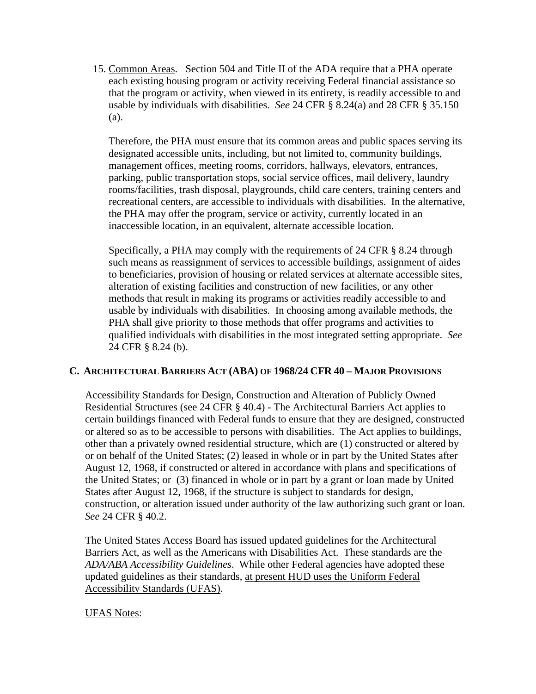15. Common Areas. Section 504 and Title II of the ADA require that a PHA operate each existing housing program or activity receiving Federal financial assistance so that the program or activity, when viewed in its entirety, is readily accessible to and usable by individuals with disabilities. *See* 24 CFR § 8.24(a) and 28 CFR § 35.150 (a).

Therefore, the PHA must ensure that its common areas and public spaces serving its designated accessible units, including, but not limited to, community buildings, management offices, meeting rooms, corridors, hallways, elevators, entrances, parking, public transportation stops, social service offices, mail delivery, laundry rooms/facilities, trash disposal, playgrounds, child care centers, training centers and recreational centers, are accessible to individuals with disabilities. In the alternative, the PHA may offer the program, service or activity, currently located in an inaccessible location, in an equivalent, alternate accessible location.

Specifically, a PHA may comply with the requirements of 24 CFR § 8.24 through such means as reassignment of services to accessible buildings, assignment of aides to beneficiaries, provision of housing or related services at alternate accessible sites, alteration of existing facilities and construction of new facilities, or any other methods that result in making its programs or activities readily accessible to and usable by individuals with disabilities. In choosing among available methods, the PHA shall give priority to those methods that offer programs and activities to qualified individuals with disabilities in the most integrated setting appropriate. *See*  24 CFR § 8.24 (b).

# **C. ARCHITECTURAL BARRIERS ACT (ABA) OF 1968/24 CFR 40 – MAJOR PROVISIONS**

 Accessibility Standards for Design, Construction and Alteration of Publicly Owned Residential Structures (see 24 CFR § 40.4) - The Architectural Barriers Act applies to certain buildings financed with Federal funds to ensure that they are designed, constructed or altered so as to be accessible to persons with disabilities. The Act applies to buildings, other than a privately owned residential structure, which are (1) constructed or altered by or on behalf of the United States; (2) leased in whole or in part by the United States after August 12, 1968, if constructed or altered in accordance with plans and specifications of the United States; or (3) financed in whole or in part by a grant or loan made by United States after August 12, 1968, if the structure is subject to standards for design, construction, or alteration issued under authority of the law authorizing such grant or loan. *See* 24 CFR § 40.2.

The United States Access Board has issued updated guidelines for the Architectural Barriers Act, as well as the Americans with Disabilities Act. These standards are the *ADA/ABA Accessibility Guidelines*. While other Federal agencies have adopted these updated guidelines as their standards, at present HUD uses the Uniform Federal Accessibility Standards (UFAS).

#### UFAS Notes: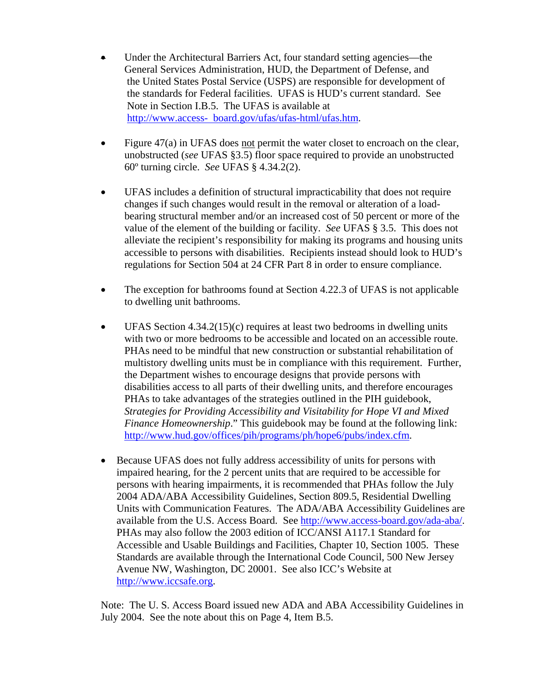- Under the Architectural Barriers Act, four standard setting agencies—the General Services Administration, HUD, the Department of Defense, and the United States Postal Service (USPS) are responsible for development of the standards for Federal facilities. UFAS is HUD's current standard. See Note in Section I.B.5. The UFAS is available at http://www.access- board.gov/ufas/ufas-html/ufas.htm.
- Figure  $47(a)$  in UFAS does not permit the water closet to encroach on the clear, unobstructed (*see* UFAS §3.5) floor space required to provide an unobstructed 60º turning circle. *See* UFAS § 4.34.2(2).
- UFAS includes a definition of structural impracticability that does not require changes if such changes would result in the removal or alteration of a loadbearing structural member and/or an increased cost of 50 percent or more of the value of the element of the building or facility. *See* UFAS § 3.5. This does not alleviate the recipient's responsibility for making its programs and housing units accessible to persons with disabilities. Recipients instead should look to HUD's regulations for Section 504 at 24 CFR Part 8 in order to ensure compliance.
- The exception for bathrooms found at Section 4.22.3 of UFAS is not applicable to dwelling unit bathrooms.
- UFAS Section  $4.34.2(15)(c)$  requires at least two bedrooms in dwelling units with two or more bedrooms to be accessible and located on an accessible route. PHAs need to be mindful that new construction or substantial rehabilitation of multistory dwelling units must be in compliance with this requirement. Further, the Department wishes to encourage designs that provide persons with disabilities access to all parts of their dwelling units, and therefore encourages PHAs to take advantages of the strategies outlined in the PIH guidebook, *Strategies for Providing Accessibility and Visitability for Hope VI and Mixed Finance Homeownership*." This guidebook may be found at the following link: [http://www.hud.gov/offices/pih/programs/ph/hope6/pubs/index.cfm.](http://www.hud.gov/offices/pih/programs/ph/hope6/pubs/index.cfm)
- Because UFAS does not fully address accessibility of units for persons with impaired hearing, for the 2 percent units that are required to be accessible for persons with hearing impairments, it is recommended that PHAs follow the July 2004 ADA/ABA Accessibility Guidelines, Section 809.5, Residential Dwelling Units with Communication Features. The ADA/ABA Accessibility Guidelines are available from the U.S. Access Board. See <http://www.access-board.gov/ada-aba/>. PHAs may also follow the 2003 edition of ICC/ANSI A117.1 Standard for Accessible and Usable Buildings and Facilities, Chapter 10, Section 1005. These Standards are available through the International Code Council, 500 New Jersey Avenue NW, Washington, DC 20001. See also ICC's Website at [http://www.iccsafe.org](http://www.iccsafe.org/).

Note: The U. S. Access Board issued new ADA and ABA Accessibility Guidelines in July 2004. See the note about this on Page 4, Item B.5.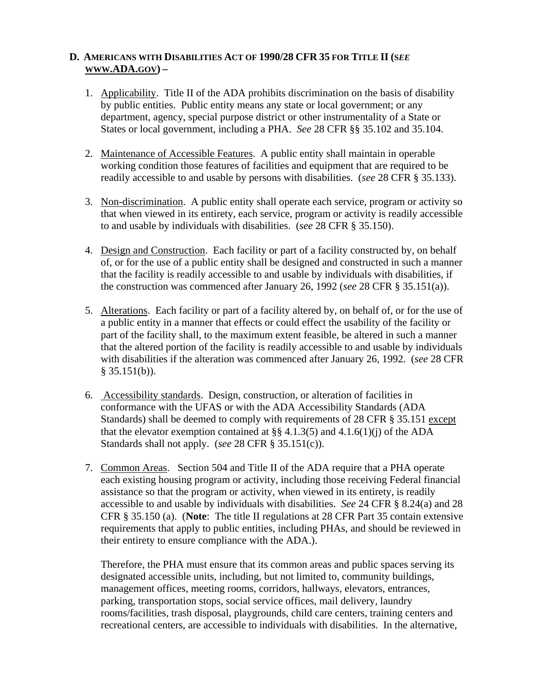## **D. AMERICANS WITH DISABILITIES ACT OF 1990/28 CFR 35 FOR TITLE II (S***EE*  **WWW.ADA.GOV) –**

- 1. Applicability. Title II of the ADA prohibits discrimination on the basis of disability by public entities. Public entity means any state or local government; or any department, agency, special purpose district or other instrumentality of a State or States or local government, including a PHA. *See* 28 CFR §§ 35.102 and 35.104.
- 2. Maintenance of Accessible Features. A public entity shall maintain in operable working condition those features of facilities and equipment that are required to be readily accessible to and usable by persons with disabilities. (*see* 28 CFR § 35.133).
- 3. Non-discrimination. A public entity shall operate each service, program or activity so that when viewed in its entirety, each service, program or activity is readily accessible to and usable by individuals with disabilities. (*see* 28 CFR § 35.150).
- 4. Design and Construction. Each facility or part of a facility constructed by, on behalf of, or for the use of a public entity shall be designed and constructed in such a manner that the facility is readily accessible to and usable by individuals with disabilities, if the construction was commenced after January 26, 1992 (*see* 28 CFR § 35.151(a)).
- 5. Alterations. Each facility or part of a facility altered by, on behalf of, or for the use of a public entity in a manner that effects or could effect the usability of the facility or part of the facility shall, to the maximum extent feasible, be altered in such a manner that the altered portion of the facility is readily accessible to and usable by individuals with disabilities if the alteration was commenced after January 26, 1992. (*see* 28 CFR  $§ 35.151(b)$ .
- 6. Accessibility standards. Design, construction, or alteration of facilities in conformance with the UFAS or with the ADA Accessibility Standards (ADA Standards) shall be deemed to comply with requirements of 28 CFR § 35.151 except that the elevator exemption contained at  $\S$  4.1.3(5) and 4.1.6(1)(j) of the ADA Standards shall not apply. (*see* 28 CFR § 35.151(c)).
- 7. Common Areas. Section 504 and Title II of the ADA require that a PHA operate each existing housing program or activity, including those receiving Federal financial assistance so that the program or activity, when viewed in its entirety, is readily accessible to and usable by individuals with disabilities. *See* 24 CFR § 8.24(a) and 28 CFR § 35.150 (a). (**Note**: The title II regulations at 28 CFR Part 35 contain extensive requirements that apply to public entities, including PHAs, and should be reviewed in their entirety to ensure compliance with the ADA.).

Therefore, the PHA must ensure that its common areas and public spaces serving its designated accessible units, including, but not limited to, community buildings, management offices, meeting rooms, corridors, hallways, elevators, entrances, parking, transportation stops, social service offices, mail delivery, laundry rooms/facilities, trash disposal, playgrounds, child care centers, training centers and recreational centers, are accessible to individuals with disabilities. In the alternative,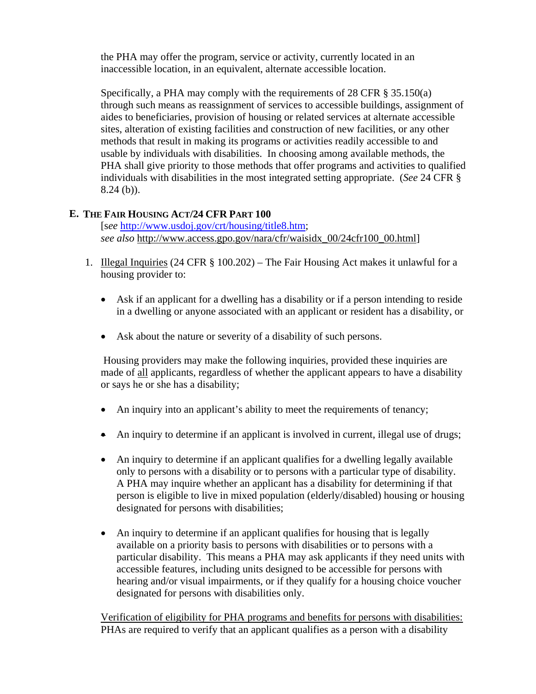the PHA may offer the program, service or activity, currently located in an inaccessible location, in an equivalent, alternate accessible location.

Specifically, a PHA may comply with the requirements of 28 CFR § 35.150(a) through such means as reassignment of services to accessible buildings, assignment of aides to beneficiaries, provision of housing or related services at alternate accessible sites, alteration of existing facilities and construction of new facilities, or any other methods that result in making its programs or activities readily accessible to and usable by individuals with disabilities. In choosing among available methods, the PHA shall give priority to those methods that offer programs and activities to qualified individuals with disabilities in the most integrated setting appropriate. (*See* 24 CFR § 8.24 (b)).

# **E. THE FAIR HOUSING ACT/24 CFR PART 100**

[s*ee* <http://www.usdoj.gov/crt/housing/title8.htm>; *see also* http://www.access.gpo.gov/nara/cfr/waisidx\_00/24cfr100\_00.html]

- 1. Illegal Inquiries (24 CFR § 100.202) The Fair Housing Act makes it unlawful for a housing provider to:
	- Ask if an applicant for a dwelling has a disability or if a person intending to reside in a dwelling or anyone associated with an applicant or resident has a disability, or
	- Ask about the nature or severity of a disability of such persons.

 Housing providers may make the following inquiries, provided these inquiries are made of all applicants, regardless of whether the applicant appears to have a disability or says he or she has a disability;

- An inquiry into an applicant's ability to meet the requirements of tenancy;
- An inquiry to determine if an applicant is involved in current, illegal use of drugs;
- An inquiry to determine if an applicant qualifies for a dwelling legally available only to persons with a disability or to persons with a particular type of disability. A PHA may inquire whether an applicant has a disability for determining if that person is eligible to live in mixed population (elderly/disabled) housing or housing designated for persons with disabilities;
- An inquiry to determine if an applicant qualifies for housing that is legally available on a priority basis to persons with disabilities or to persons with a particular disability. This means a PHA may ask applicants if they need units with accessible features, including units designed to be accessible for persons with hearing and/or visual impairments, or if they qualify for a housing choice voucher designated for persons with disabilities only.

Verification of eligibility for PHA programs and benefits for persons with disabilities: PHAs are required to verify that an applicant qualifies as a person with a disability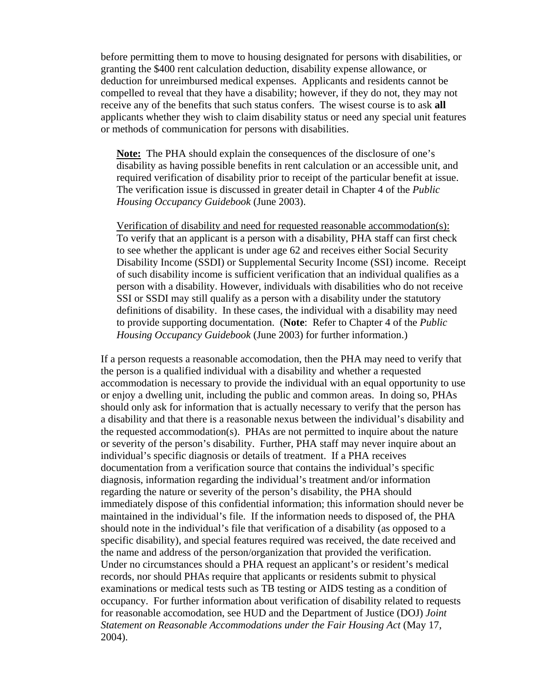before permitting them to move to housing designated for persons with disabilities, or granting the \$400 rent calculation deduction, disability expense allowance, or deduction for unreimbursed medical expenses. Applicants and residents cannot be compelled to reveal that they have a disability; however, if they do not, they may not receive any of the benefits that such status confers. The wisest course is to ask **all** applicants whether they wish to claim disability status or need any special unit features or methods of communication for persons with disabilities.

**Note:** The PHA should explain the consequences of the disclosure of one's disability as having possible benefits in rent calculation or an accessible unit, and required verification of disability prior to receipt of the particular benefit at issue. The verification issue is discussed in greater detail in Chapter 4 of the *Public Housing Occupancy Guidebook* (June 2003).

Verification of disability and need for requested reasonable accommodation(s): To verify that an applicant is a person with a disability, PHA staff can first check to see whether the applicant is under age 62 and receives either Social Security Disability Income (SSDI) or Supplemental Security Income (SSI) income. Receipt of such disability income is sufficient verification that an individual qualifies as a person with a disability. However, individuals with disabilities who do not receive SSI or SSDI may still qualify as a person with a disability under the statutory definitions of disability. In these cases, the individual with a disability may need to provide supporting documentation. (**Note**: Refer to Chapter 4 of the *Public Housing Occupancy Guidebook* (June 2003) for further information.)

 If a person requests a reasonable accomodation, then the PHA may need to verify that the person is a qualified individual with a disability and whether a requested accommodation is necessary to provide the individual with an equal opportunity to use or enjoy a dwelling unit, including the public and common areas. In doing so, PHAs should only ask for information that is actually necessary to verify that the person has a disability and that there is a reasonable nexus between the individual's disability and the requested accommodation(s). PHAs are not permitted to inquire about the nature or severity of the person's disability. Further, PHA staff may never inquire about an individual's specific diagnosis or details of treatment. If a PHA receives documentation from a verification source that contains the individual's specific diagnosis, information regarding the individual's treatment and/or information regarding the nature or severity of the person's disability, the PHA should immediately dispose of this confidential information; this information should never be maintained in the individual's file. If the information needs to disposed of, the PHA should note in the individual's file that verification of a disability (as opposed to a specific disability), and special features required was received, the date received and the name and address of the person/organization that provided the verification. Under no circumstances should a PHA request an applicant's or resident's medical records, nor should PHAs require that applicants or residents submit to physical examinations or medical tests such as TB testing or AIDS testing as a condition of occupancy. For further information about verification of disability related to requests for reasonable accomodation, see HUD and the Department of Justice (DOJ) *Joint Statement on Reasonable Accommodations under the Fair Housing Act* (May 17, 2004).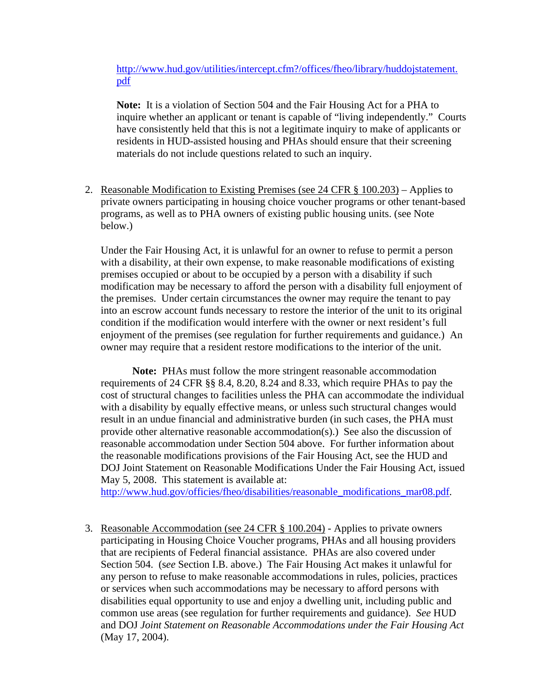<http://www.hud.gov/utilities/intercept.cfm?/offices/fheo/library/huddojstatement>. pdf

**Note:** It is a violation of Section 504 and the Fair Housing Act for a PHA to inquire whether an applicant or tenant is capable of "living independently." Courts have consistently held that this is not a legitimate inquiry to make of applicants or residents in HUD-assisted housing and PHAs should ensure that their screening materials do not include questions related to such an inquiry.

2. Reasonable Modification to Existing Premises (see 24 CFR § 100.203) – Applies to private owners participating in housing choice voucher programs or other tenant-based programs, as well as to PHA owners of existing public housing units. (see Note below.)

Under the Fair Housing Act, it is unlawful for an owner to refuse to permit a person with a disability, at their own expense, to make reasonable modifications of existing premises occupied or about to be occupied by a person with a disability if such modification may be necessary to afford the person with a disability full enjoyment of the premises. Under certain circumstances the owner may require the tenant to pay into an escrow account funds necessary to restore the interior of the unit to its original condition if the modification would interfere with the owner or next resident's full enjoyment of the premises (see regulation for further requirements and guidance.) An owner may require that a resident restore modifications to the interior of the unit.

 **Note:** PHAs must follow the more stringent reasonable accommodation requirements of 24 CFR §§ 8.4, 8.20, 8.24 and 8.33, which require PHAs to pay the cost of structural changes to facilities unless the PHA can accommodate the individual with a disability by equally effective means, or unless such structural changes would result in an undue financial and administrative burden (in such cases, the PHA must provide other alternative reasonable accommodation(s).) See also the discussion of reasonable accommodation under Section 504 above. For further information about the reasonable modifications provisions of the Fair Housing Act, see the HUD and DOJ Joint Statement on Reasonable Modifications Under the Fair Housing Act, issued May 5, 2008. This statement is available at:

[http://www.hud.gov/officies/fheo/disabilities/reasonable\\_modifications\\_mar08.pdf.](http://www.hud.gov/officies/fheo/disabilities/reasonable_modifications_mar08.pdf)

3.Reasonable Accommodation (see 24 CFR § 100.204) - Applies to private owners participating in Housing Choice Voucher programs, PHAs and all housing providers that are recipients of Federal financial assistance. PHAs are also covered under Section 504. (s*ee* Section I.B. above.) The Fair Housing Act makes it unlawful for any person to refuse to make reasonable accommodations in rules, policies, practices or services when such accommodations may be necessary to afford persons with disabilities equal opportunity to use and enjoy a dwelling unit, including public and common use areas (see regulation for further requirements and guidance). *See* HUD and DOJ *Joint Statement on Reasonable Accommodations under the Fair Housing Act* (May 17, 2004).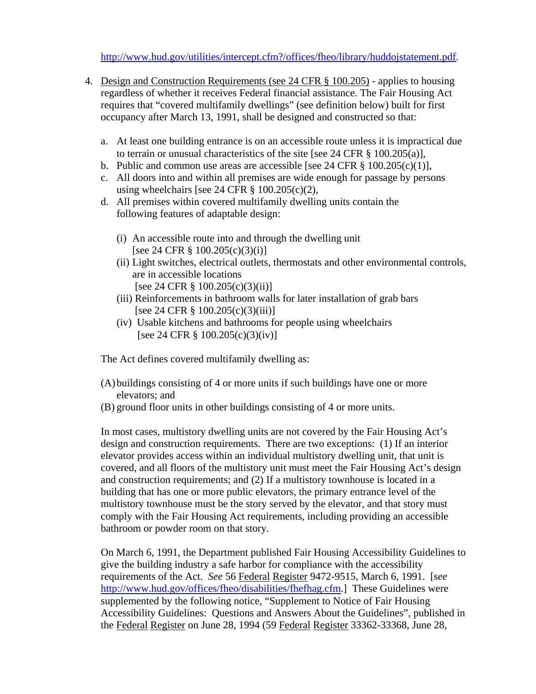<http://www.hud.gov/utilities/intercept.cfm?/offices/fheo/library/huddojstatement.pdf>.

- 4. Design and Construction Requirements (see 24 CFR § 100.205) applies to housing regardless of whether it receives Federal financial assistance. The Fair Housing Act requires that "covered multifamily dwellings" (see definition below) built for first occupancy after March 13, 1991, shall be designed and constructed so that:
	- a. At least one building entrance is on an accessible route unless it is impractical due to terrain or unusual characteristics of the site [see 24 CFR § 100.205(a)],
	- b. Public and common use areas are accessible [see 24 CFR  $\S$  100.205(c)(1)],
	- c. All doors into and within all premises are wide enough for passage by persons using wheelchairs [see 24 CFR  $\S$  100.205(c)(2),
	- d. All premises within covered multifamily dwelling units contain the following features of adaptable design:
		- (i) An accessible route into and through the dwelling unit [see 24 CFR § 100.205(c)(3)(i)]
		- (ii) Light switches, electrical outlets, thermostats and other environmental controls, are in accessible locations [see 24 CFR § 100.205(c)(3)(ii)]
		- (iii) Reinforcements in bathroom walls for later installation of grab bars [see 24 CFR § 100.205(c)(3)(iii)]
		- (iv) Usable kitchens and bathrooms for people using wheelchairs [see 24 CFR § 100.205(c)(3)(iv)]

The Act defines covered multifamily dwelling as:

- (A)buildings consisting of 4 or more units if such buildings have one or more elevators; and
- (B) ground floor units in other buildings consisting of 4 or more units.

In most cases, multistory dwelling units are not covered by the Fair Housing Act's design and construction requirements. There are two exceptions: (1) If an interior elevator provides access within an individual multistory dwelling unit, that unit is covered, and all floors of the multistory unit must meet the Fair Housing Act's design and construction requirements; and (2) If a multistory townhouse is located in a building that has one or more public elevators, the primary entrance level of the multistory townhouse must be the story served by the elevator, and that story must comply with the Fair Housing Act requirements, including providing an accessible bathroom or powder room on that story.

On March 6, 1991, the Department published Fair Housing Accessibility Guidelines to give the building industry a safe harbor for compliance with the accessibility requirements of the Act. *See* 56 Federal Register 9472-9515, March 6, 1991. [s*ee*  [http://www.hud.gov/offices/fheo/disabilities/fhefhag.cfm.](http://www.hud.gov/offices/fheo/disabilities/fhefhag.cfm)] These Guidelines were supplemented by the following notice, "Supplement to Notice of Fair Housing Accessibility Guidelines: Questions and Answers About the Guidelines", published in the Federal Register on June 28, 1994 (59 Federal Register 33362-33368, June 28,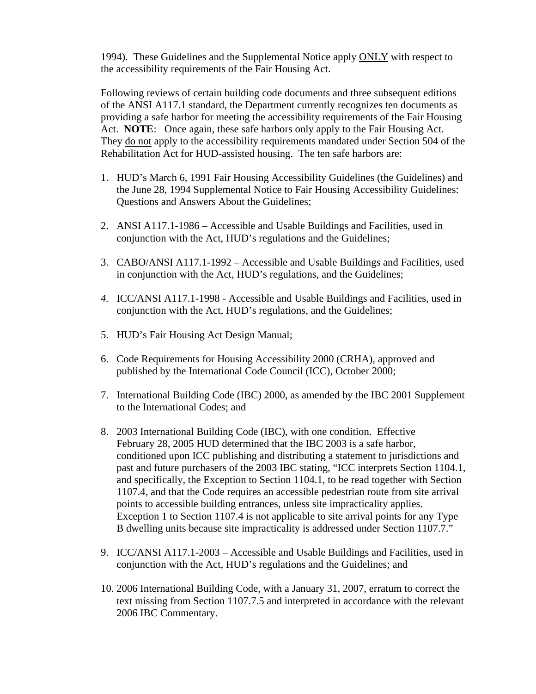1994). These Guidelines and the Supplemental Notice apply ONLY with respect to the accessibility requirements of the Fair Housing Act.

Following reviews of certain building code documents and three subsequent editions of the ANSI A117.1 standard, the Department currently recognizes ten documents as providing a safe harbor for meeting the accessibility requirements of the Fair Housing Act. **NOTE**: Once again, these safe harbors only apply to the Fair Housing Act. They do not apply to the accessibility requirements mandated under Section 504 of the Rehabilitation Act for HUD-assisted housing. The ten safe harbors are:

- 1. HUD's March 6, 1991 Fair Housing Accessibility Guidelines (the Guidelines) and the June 28, 1994 Supplemental Notice to Fair Housing Accessibility Guidelines: Questions and Answers About the Guidelines;
- 2. ANSI A117.1-1986 Accessible and Usable Buildings and Facilities, used in conjunction with the Act, HUD's regulations and the Guidelines;
- 3. CABO/ANSI A117.1-1992 Accessible and Usable Buildings and Facilities, used in conjunction with the Act, HUD's regulations, and the Guidelines;
- *4.* ICC/ANSI A117.1-1998 Accessible and Usable Buildings and Facilities, used in conjunction with the Act, HUD's regulations, and the Guidelines;
- 5. HUD's Fair Housing Act Design Manual;
- 6. Code Requirements for Housing Accessibility 2000 (CRHA), approved and published by the International Code Council (ICC), October 2000;
- 7. International Building Code (IBC) 2000, as amended by the IBC 2001 Supplement to the International Codes; and
- 8. 2003 International Building Code (IBC), with one condition. Effective February 28, 2005 HUD determined that the IBC 2003 is a safe harbor, conditioned upon ICC publishing and distributing a statement to jurisdictions and past and future purchasers of the 2003 IBC stating, "ICC interprets Section 1104.1, and specifically, the Exception to Section 1104.1, to be read together with Section 1107.4, and that the Code requires an accessible pedestrian route from site arrival points to accessible building entrances, unless site impracticality applies. Exception 1 to Section 1107.4 is not applicable to site arrival points for any Type B dwelling units because site impracticality is addressed under Section 1107.7."
- 9. ICC/ANSI A117.1-2003 Accessible and Usable Buildings and Facilities, used in conjunction with the Act, HUD's regulations and the Guidelines; and
- 10. 2006 International Building Code, with a January 31, 2007, erratum to correct the text missing from Section 1107.7.5 and interpreted in accordance with the relevant 2006 IBC Commentary.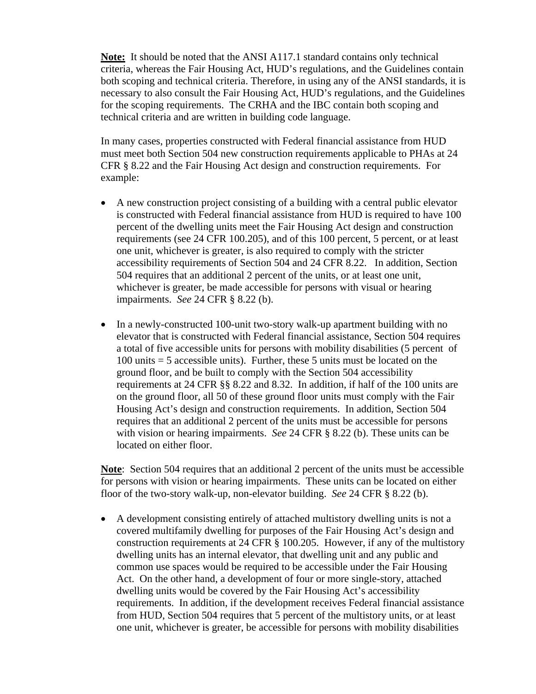**Note:** It should be noted that the ANSI A117.1 standard contains only technical criteria, whereas the Fair Housing Act, HUD's regulations, and the Guidelines contain both scoping and technical criteria. Therefore, in using any of the ANSI standards, it is necessary to also consult the Fair Housing Act, HUD's regulations, and the Guidelines for the scoping requirements. The CRHA and the IBC contain both scoping and technical criteria and are written in building code language.

In many cases, properties constructed with Federal financial assistance from HUD must meet both Section 504 new construction requirements applicable to PHAs at 24 CFR § 8.22 and the Fair Housing Act design and construction requirements. For example:

- A new construction project consisting of a building with a central public elevator is constructed with Federal financial assistance from HUD is required to have 100 percent of the dwelling units meet the Fair Housing Act design and construction requirements (see 24 CFR 100.205), and of this 100 percent, 5 percent, or at least one unit, whichever is greater, is also required to comply with the stricter accessibility requirements of Section 504 and 24 CFR 8.22. In addition, Section 504 requires that an additional 2 percent of the units, or at least one unit, whichever is greater, be made accessible for persons with visual or hearing impairments. *See* 24 CFR § 8.22 (b).
- In a newly-constructed 100-unit two-story walk-up apartment building with no elevator that is constructed with Federal financial assistance, Section 504 requires a total of five accessible units for persons with mobility disabilities (5 percent of 100 units = 5 accessible units). Further, these 5 units must be located on the ground floor, and be built to comply with the Section 504 accessibility requirements at 24 CFR §§ 8.22 and 8.32. In addition, if half of the 100 units are on the ground floor, all 50 of these ground floor units must comply with the Fair Housing Act's design and construction requirements. In addition, Section 504 requires that an additional 2 percent of the units must be accessible for persons with vision or hearing impairments. *See* 24 CFR § 8.22 (b). These units can be located on either floor.

**Note**: Section 504 requires that an additional 2 percent of the units must be accessible for persons with vision or hearing impairments. These units can be located on either floor of the two-story walk-up, non-elevator building. *See* 24 CFR § 8.22 (b).

• A development consisting entirely of attached multistory dwelling units is not a covered multifamily dwelling for purposes of the Fair Housing Act's design and construction requirements at 24 CFR § 100.205. However, if any of the multistory dwelling units has an internal elevator, that dwelling unit and any public and common use spaces would be required to be accessible under the Fair Housing Act. On the other hand, a development of four or more single-story, attached dwelling units would be covered by the Fair Housing Act's accessibility requirements. In addition, if the development receives Federal financial assistance from HUD, Section 504 requires that 5 percent of the multistory units, or at least one unit, whichever is greater, be accessible for persons with mobility disabilities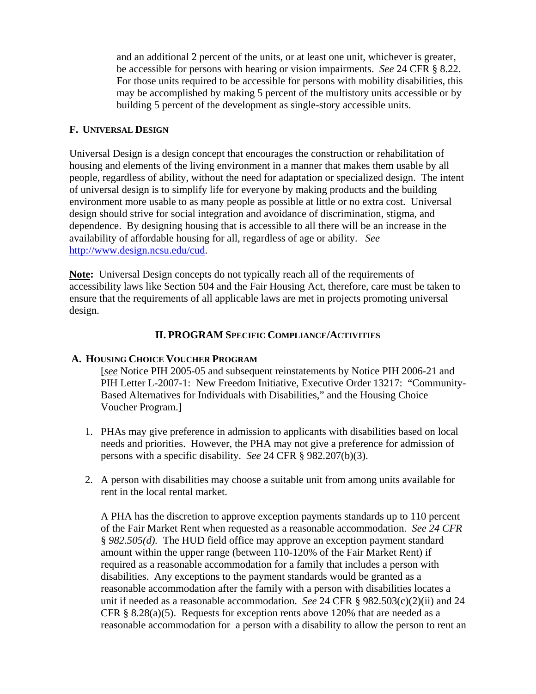and an additional 2 percent of the units, or at least one unit, whichever is greater, be accessible for persons with hearing or vision impairments. *See* 24 CFR § 8.22. For those units required to be accessible for persons with mobility disabilities, this may be accomplished by making 5 percent of the multistory units accessible or by building 5 percent of the development as single-story accessible units.

#### **F. UNIVERSAL DESIGN**

Universal Design is a design concept that encourages the construction or rehabilitation of housing and elements of the living environment in a manner that makes them usable by all people, regardless of ability, without the need for adaptation or specialized design. The intent of universal design is to simplify life for everyone by making products and the building environment more usable to as many people as possible at little or no extra cost. Universal design should strive for social integration and avoidance of discrimination, stigma, and dependence. By designing housing that is accessible to all there will be an increase in the availability of affordable housing for all, regardless of age or ability. *See*  <http://www.design.ncsu.edu/cud>.

**Note:** Universal Design concepts do not typically reach all of the requirements of accessibility laws like Section 504 and the Fair Housing Act, therefore, care must be taken to ensure that the requirements of all applicable laws are met in projects promoting universal design.

# **II. PROGRAM SPECIFIC COMPLIANCE/ACTIVITIES**

# **A. HOUSING CHOICE VOUCHER PROGRAM**

[*see* Notice PIH 2005-05 and subsequent reinstatements by Notice PIH 2006-21 and PIH Letter L-2007-1: New Freedom Initiative, Executive Order 13217: "Community-Based Alternatives for Individuals with Disabilities," and the Housing Choice Voucher Program.]

- 1. PHAs may give preference in admission to applicants with disabilities based on local needs and priorities. However, the PHA may not give a preference for admission of persons with a specific disability. *See* 24 CFR § 982.207(b)(3).
- 2. A person with disabilities may choose a suitable unit from among units available for rent in the local rental market.

A PHA has the discretion to approve exception payments standards up to 110 percent of the Fair Market Rent when requested as a reasonable accommodation. *See 24 CFR*  § *982.505(d).* The HUD field office may approve an exception payment standard amount within the upper range (between 110-120% of the Fair Market Rent) if required as a reasonable accommodation for a family that includes a person with disabilities. Any exceptions to the payment standards would be granted as a reasonable accommodation after the family with a person with disabilities locates a unit if needed as a reasonable accommodation. *See* 24 CFR § 982.503(c)(2)(ii) and 24 CFR  $\S$  8.28(a)(5). Requests for exception rents above 120% that are needed as a reasonable accommodation for a person with a disability to allow the person to rent an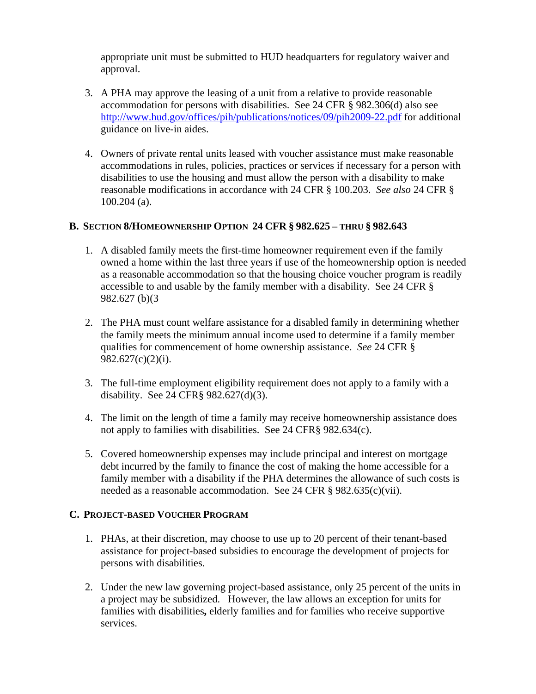appropriate unit must be submitted to HUD headquarters for regulatory waiver and approval.

- 3. A PHA may approve the leasing of a unit from a relative to provide reasonable accommodation for persons with disabilities. See 24 CFR § 982.306(d) also see <http://www.hud.gov/offices/pih/publications/notices/09/pih2009-22.pdf>for additional guidance on live-in aides.
- 4. Owners of private rental units leased with voucher assistance must make reasonable accommodations in rules, policies, practices or services if necessary for a person with disabilities to use the housing and must allow the person with a disability to make reasonable modifications in accordance with 24 CFR § 100.203. *See also* 24 CFR § 100.204 (a).

#### **B. SECTION 8/HOMEOWNERSHIP OPTION 24 CFR § 982.625 – THRU § 982.643**

- 1. A disabled family meets the first-time homeowner requirement even if the family owned a home within the last three years if use of the homeownership option is needed as a reasonable accommodation so that the housing choice voucher program is readily accessible to and usable by the family member with a disability. See 24 CFR § 982.627 (b)(3
- 2. The PHA must count welfare assistance for a disabled family in determining whether the family meets the minimum annual income used to determine if a family member qualifies for commencement of home ownership assistance. *See* 24 CFR § 982.627(c)(2)(i).
- 3. The full-time employment eligibility requirement does not apply to a family with a disability. See 24 CFR§ 982.627(d)(3).
- 4. The limit on the length of time a family may receive homeownership assistance does not apply to families with disabilities. See 24 CFR§ 982.634(c).
- 5. Covered homeownership expenses may include principal and interest on mortgage debt incurred by the family to finance the cost of making the home accessible for a family member with a disability if the PHA determines the allowance of such costs is needed as a reasonable accommodation. See 24 CFR § 982.635(c)(vii).

# **C. PROJECT-BASED VOUCHER PROGRAM**

- 1. PHAs, at their discretion, may choose to use up to 20 percent of their tenant-based assistance for project-based subsidies to encourage the development of projects for persons with disabilities.
- 2. Under the new law governing project-based assistance, only 25 percent of the units in a project may be subsidized. However, the law allows an exception for units for families with disabilities**,** elderly families and for families who receive supportive services.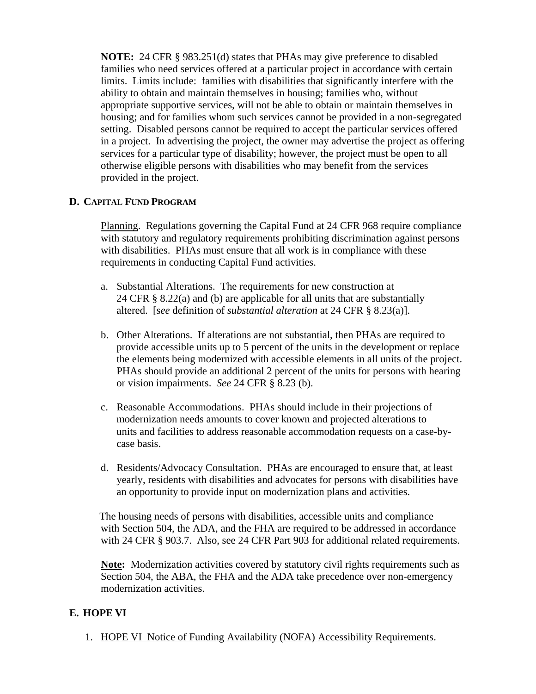**NOTE:** 24 CFR § 983.251(d) states that PHAs may give preference to disabled families who need services offered at a particular project in accordance with certain limits. Limits include: families with disabilities that significantly interfere with the ability to obtain and maintain themselves in housing; families who, without appropriate supportive services, will not be able to obtain or maintain themselves in housing; and for families whom such services cannot be provided in a non-segregated setting. Disabled persons cannot be required to accept the particular services offered in a project. In advertising the project, the owner may advertise the project as offering services for a particular type of disability; however, the project must be open to all otherwise eligible persons with disabilities who may benefit from the services provided in the project.

# **D. CAPITAL FUND PROGRAM**

Planning. Regulations governing the Capital Fund at 24 CFR 968 require compliance with statutory and regulatory requirements prohibiting discrimination against persons with disabilities. PHAs must ensure that all work is in compliance with these requirements in conducting Capital Fund activities.

- a. Substantial Alterations. The requirements for new construction at 24 CFR § 8.22(a) and (b) are applicable for all units that are substantially altered. [s*ee* definition of *substantial alteration* at 24 CFR § 8.23(a)].
- b. Other Alterations. If alterations are not substantial, then PHAs are required to provide accessible units up to 5 percent of the units in the development or replace the elements being modernized with accessible elements in all units of the project. PHAs should provide an additional 2 percent of the units for persons with hearing or vision impairments. *See* 24 CFR § 8.23 (b).
- c. Reasonable Accommodations. PHAs should include in their projections of modernization needs amounts to cover known and projected alterations to units and facilities to address reasonable accommodation requests on a case-bycase basis.
- d. Residents/Advocacy Consultation. PHAs are encouraged to ensure that, at least yearly, residents with disabilities and advocates for persons with disabilities have an opportunity to provide input on modernization plans and activities.

 The housing needs of persons with disabilities, accessible units and compliance with Section 504, the ADA, and the FHA are required to be addressed in accordance with 24 CFR § 903.7. Also, see 24 CFR Part 903 for additional related requirements.

**Note:** Modernization activities covered by statutory civil rights requirements such as Section 504, the ABA, the FHA and the ADA take precedence over non-emergency modernization activities.

# **E. HOPE VI**

1. HOPE VI Notice of Funding Availability (NOFA) Accessibility Requirements.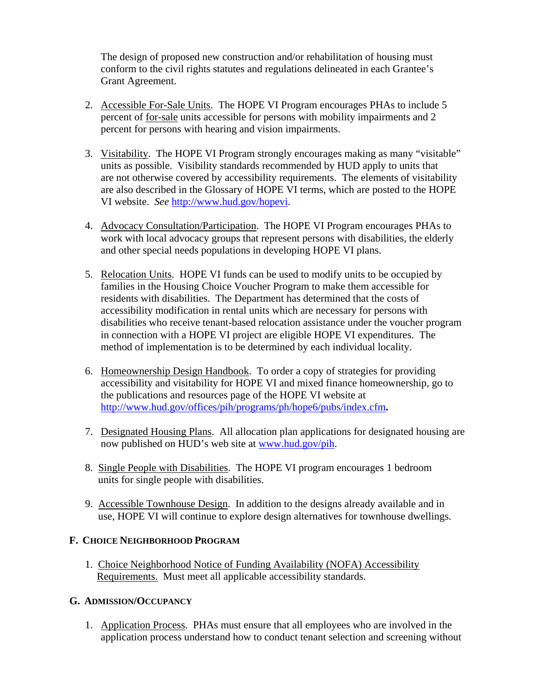The design of proposed new construction and/or rehabilitation of housing must conform to the civil rights statutes and regulations delineated in each Grantee's Grant Agreement.

- 2. Accessible For-Sale Units. The HOPE VI Program encourages PHAs to include 5 percent of for-sale units accessible for persons with mobility impairments and 2 percent for persons with hearing and vision impairments.
- 3. Visitability. The HOPE VI Program strongly encourages making as many "visitable" units as possible. Visibility standards recommended by HUD apply to units that are not otherwise covered by accessibility requirements. The elements of visitability are also described in the Glossary of HOPE VI terms, which are posted to the HOPE VI website. *See* http://www.hud.gov/hopevi.
- 4. Advocacy Consultation/Participation. The HOPE VI Program encourages PHAs to work with local advocacy groups that represent persons with disabilities, the elderly and other special needs populations in developing HOPE VI plans.
- 5. Relocation Units. HOPE VI funds can be used to modify units to be occupied by families in the Housing Choice Voucher Program to make them accessible for residents with disabilities. The Department has determined that the costs of accessibility modification in rental units which are necessary for persons with disabilities who receive tenant-based relocation assistance under the voucher program in connection with a HOPE VI project are eligible HOPE VI expenditures. The method of implementation is to be determined by each individual locality.
- 6. Homeownership Design Handbook. To order a copy of strategies for providing accessibility and visitability for HOPE VI and mixed finance homeownership, go to the publications and resources page of the HOPE VI website at <http://www.hud.gov/offices/pih/programs/ph/hope6/pubs/index.cfm>**.**
- 7. Designated Housing Plans. All allocation plan applications for designated housing are now published on HUD's web site at www.hud.gov/pih.
- 8. Single People with Disabilities. The HOPE VI program encourages 1 bedroom units for single people with disabilities.
- 9. Accessible Townhouse Design. In addition to the designs already available and in use, HOPE VI will continue to explore design alternatives for townhouse dwellings.

# **F. CHOICE NEIGHBORHOOD PROGRAM**

 1. Choice Neighborhood Notice of Funding Availability (NOFA) Accessibility Requirements. Must meet all applicable accessibility standards.

# **G. ADMISSION/OCCUPANCY**

1. Application Process. PHAs must ensure that all employees who are involved in the application process understand how to conduct tenant selection and screening without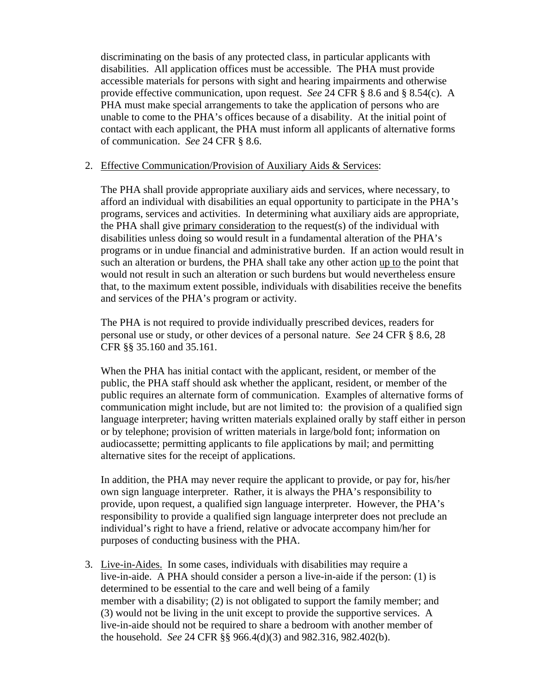discriminating on the basis of any protected class, in particular applicants with disabilities. All application offices must be accessible. The PHA must provide accessible materials for persons with sight and hearing impairments and otherwise provide effective communication, upon request. *See* 24 CFR § 8.6 and § 8.54(c). A PHA must make special arrangements to take the application of persons who are unable to come to the PHA's offices because of a disability. At the initial point of contact with each applicant, the PHA must inform all applicants of alternative forms of communication. *See* 24 CFR § 8.6.

#### 2. Effective Communication/Provision of Auxiliary Aids & Services:

The PHA shall provide appropriate auxiliary aids and services, where necessary, to afford an individual with disabilities an equal opportunity to participate in the PHA's programs, services and activities. In determining what auxiliary aids are appropriate, the PHA shall give primary consideration to the request(s) of the individual with disabilities unless doing so would result in a fundamental alteration of the PHA's programs or in undue financial and administrative burden. If an action would result in such an alteration or burdens, the PHA shall take any other action up to the point that would not result in such an alteration or such burdens but would nevertheless ensure that, to the maximum extent possible, individuals with disabilities receive the benefits and services of the PHA's program or activity.

The PHA is not required to provide individually prescribed devices, readers for personal use or study, or other devices of a personal nature. *See* 24 CFR § 8.6, 28 CFR §§ 35.160 and 35.161.

When the PHA has initial contact with the applicant, resident, or member of the public, the PHA staff should ask whether the applicant, resident, or member of the public requires an alternate form of communication. Examples of alternative forms of communication might include, but are not limited to: the provision of a qualified sign language interpreter; having written materials explained orally by staff either in person or by telephone; provision of written materials in large/bold font; information on audiocassette; permitting applicants to file applications by mail; and permitting alternative sites for the receipt of applications.

In addition, the PHA may never require the applicant to provide, or pay for, his/her own sign language interpreter. Rather, it is always the PHA's responsibility to provide, upon request, a qualified sign language interpreter. However, the PHA's responsibility to provide a qualified sign language interpreter does not preclude an individual's right to have a friend, relative or advocate accompany him/her for purposes of conducting business with the PHA.

3. Live-in-Aides. In some cases, individuals with disabilities may require a live-in-aide. A PHA should consider a person a live-in-aide if the person: (1) is determined to be essential to the care and well being of a family member with a disability; (2) is not obligated to support the family member; and (3) would not be living in the unit except to provide the supportive services. A live-in-aide should not be required to share a bedroom with another member of the household. *See* 24 CFR §§ 966.4(d)(3) and 982.316, 982.402(b).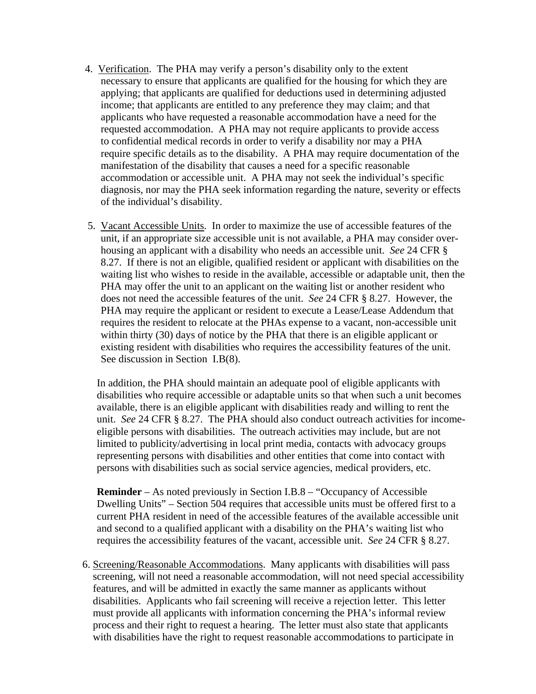- 4. Verification. The PHA may verify a person's disability only to the extent necessary to ensure that applicants are qualified for the housing for which they are applying; that applicants are qualified for deductions used in determining adjusted income; that applicants are entitled to any preference they may claim; and that applicants who have requested a reasonable accommodation have a need for the requested accommodation. A PHA may not require applicants to provide access to confidential medical records in order to verify a disability nor may a PHA require specific details as to the disability. A PHA may require documentation of the manifestation of the disability that causes a need for a specific reasonable accommodation or accessible unit. A PHA may not seek the individual's specific diagnosis, nor may the PHA seek information regarding the nature, severity or effects of the individual's disability.
- 5. Vacant Accessible Units. In order to maximize the use of accessible features of the unit, if an appropriate size accessible unit is not available, a PHA may consider overhousing an applicant with a disability who needs an accessible unit. *See* 24 CFR § 8.27. If there is not an eligible, qualified resident or applicant with disabilities on the waiting list who wishes to reside in the available, accessible or adaptable unit, then the PHA may offer the unit to an applicant on the waiting list or another resident who does not need the accessible features of the unit. *See* 24 CFR § 8.27. However, the PHA may require the applicant or resident to execute a Lease/Lease Addendum that requires the resident to relocate at the PHAs expense to a vacant, non-accessible unit within thirty (30) days of notice by the PHA that there is an eligible applicant or existing resident with disabilities who requires the accessibility features of the unit. See discussion in Section I.B(8).

 In addition, the PHA should maintain an adequate pool of eligible applicants with disabilities who require accessible or adaptable units so that when such a unit becomes available, there is an eligible applicant with disabilities ready and willing to rent the unit. *See* 24 CFR § 8.27. The PHA should also conduct outreach activities for incomeeligible persons with disabilities. The outreach activities may include, but are not limited to publicity/advertising in local print media, contacts with advocacy groups representing persons with disabilities and other entities that come into contact with persons with disabilities such as social service agencies, medical providers, etc.

**Reminder** – As noted previously in Section I.B.8 – "Occupancy of Accessible Dwelling Units" – Section 504 requires that accessible units must be offered first to a current PHA resident in need of the accessible features of the available accessible unit and second to a qualified applicant with a disability on the PHA's waiting list who requires the accessibility features of the vacant, accessible unit. *See* 24 CFR § 8.27.

6. Screening/Reasonable Accommodations. Many applicants with disabilities will pass screening, will not need a reasonable accommodation, will not need special accessibility features, and will be admitted in exactly the same manner as applicants without disabilities. Applicants who fail screening will receive a rejection letter. This letter must provide all applicants with information concerning the PHA's informal review process and their right to request a hearing. The letter must also state that applicants with disabilities have the right to request reasonable accommodations to participate in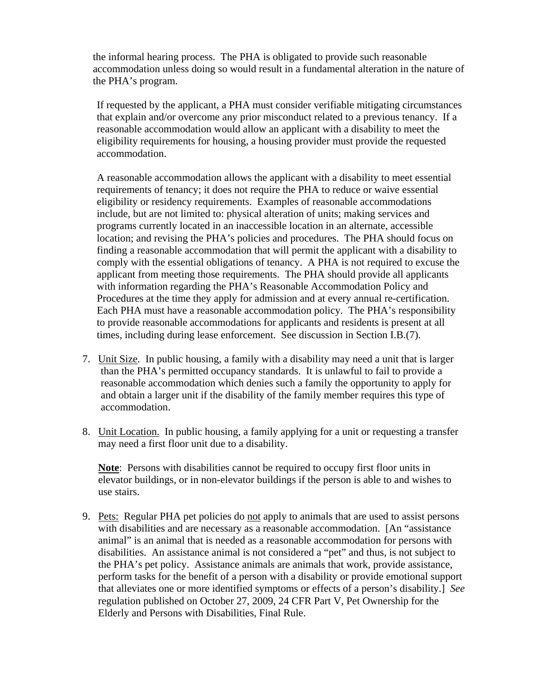the informal hearing process. The PHA is obligated to provide such reasonable accommodation unless doing so would result in a fundamental alteration in the nature of the PHA's program.

If requested by the applicant, a PHA must consider verifiable mitigating circumstances that explain and/or overcome any prior misconduct related to a previous tenancy. If a reasonable accommodation would allow an applicant with a disability to meet the eligibility requirements for housing, a housing provider must provide the requested accommodation.

A reasonable accommodation allows the applicant with a disability to meet essential requirements of tenancy; it does not require the PHA to reduce or waive essential eligibility or residency requirements. Examples of reasonable accommodations include, but are not limited to: physical alteration of units; making services and programs currently located in an inaccessible location in an alternate, accessible location; and revising the PHA's policies and procedures. The PHA should focus on finding a reasonable accommodation that will permit the applicant with a disability to comply with the essential obligations of tenancy. A PHA is not required to excuse the applicant from meeting those requirements. The PHA should provide all applicants with information regarding the PHA's Reasonable Accommodation Policy and Procedures at the time they apply for admission and at every annual re-certification. Each PHA must have a reasonable accommodation policy. The PHA's responsibility to provide reasonable accommodations for applicants and residents is present at all times, including during lease enforcement. See discussion in Section I.B.(7).

- 7. Unit Size. In public housing, a family with a disability may need a unit that is larger than the PHA's permitted occupancy standards. It is unlawful to fail to provide a reasonable accommodation which denies such a family the opportunity to apply for and obtain a larger unit if the disability of the family member requires this type of accommodation.
- 8. Unit Location. In public housing, a family applying for a unit or requesting a transfer may need a first floor unit due to a disability.

**Note**: Persons with disabilities cannot be required to occupy first floor units in elevator buildings, or in non-elevator buildings if the person is able to and wishes to use stairs.

9. Pets: Regular PHA pet policies do not apply to animals that are used to assist persons with disabilities and are necessary as a reasonable accommodation. [An "assistance animal" is an animal that is needed as a reasonable accommodation for persons with disabilities. An assistance animal is not considered a "pet" and thus, is not subject to the PHA's pet policy. Assistance animals are animals that work, provide assistance, perform tasks for the benefit of a person with a disability or provide emotional support that alleviates one or more identified symptoms or effects of a person's disability.] *See*  regulation published on October 27, 2009, 24 CFR Part V, Pet Ownership for the Elderly and Persons with Disabilities, Final Rule.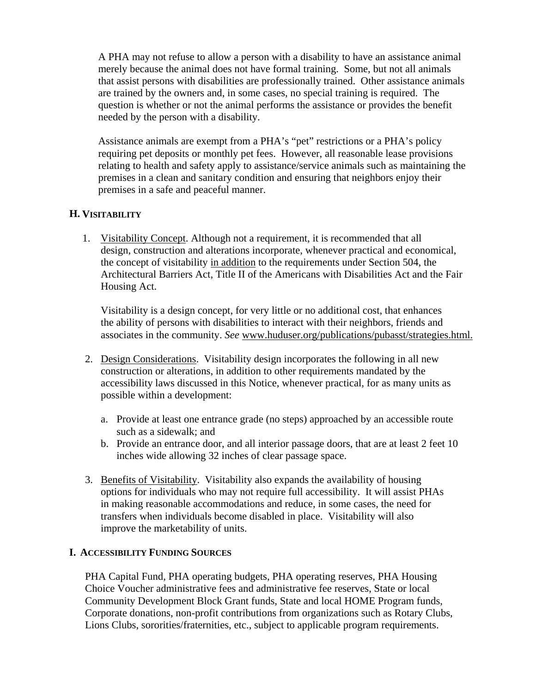A PHA may not refuse to allow a person with a disability to have an assistance animal merely because the animal does not have formal training. Some, but not all animals that assist persons with disabilities are professionally trained. Other assistance animals are trained by the owners and, in some cases, no special training is required. The question is whether or not the animal performs the assistance or provides the benefit needed by the person with a disability.

Assistance animals are exempt from a PHA's "pet" restrictions or a PHA's policy requiring pet deposits or monthly pet fees. However, all reasonable lease provisions relating to health and safety apply to assistance/service animals such as maintaining the premises in a clean and sanitary condition and ensuring that neighbors enjoy their premises in a safe and peaceful manner.

# **H. VISITABILITY**

1. Visitability Concept. Although not a requirement, it is recommended that all design, construction and alterations incorporate, whenever practical and economical, the concept of visitability in addition to the requirements under Section 504, the Architectural Barriers Act, Title II of the Americans with Disabilities Act and the Fair Housing Act.

 Visitability is a design concept, for very little or no additional cost, that enhances the ability of persons with disabilities to interact with their neighbors, friends and associates in the community. *See* www.huduser.org/publications/pubasst/strategies.html.

- 2. Design Considerations. Visitability design incorporates the following in all new construction or alterations, in addition to other requirements mandated by the accessibility laws discussed in this Notice, whenever practical, for as many units as possible within a development:
	- a. Provide at least one entrance grade (no steps) approached by an accessible route such as a sidewalk; and
	- b. Provide an entrance door, and all interior passage doors, that are at least 2 feet 10 inches wide allowing 32 inches of clear passage space.
- 3. Benefits of Visitability. Visitability also expands the availability of housing options for individuals who may not require full accessibility. It will assist PHAs in making reasonable accommodations and reduce, in some cases, the need for transfers when individuals become disabled in place. Visitability will also improve the marketability of units.

#### **I. ACCESSIBILITY FUNDING SOURCES**

PHA Capital Fund, PHA operating budgets, PHA operating reserves, PHA Housing Choice Voucher administrative fees and administrative fee reserves, State or local Community Development Block Grant funds, State and local HOME Program funds, Corporate donations, non-profit contributions from organizations such as Rotary Clubs, Lions Clubs, sororities/fraternities, etc., subject to applicable program requirements.